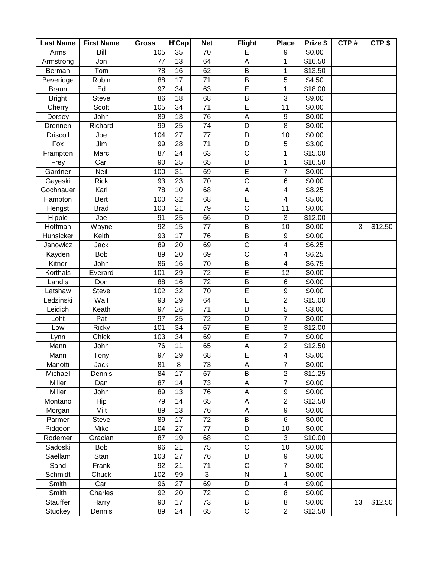| Bill<br>105<br>35<br>70<br>\$0.00<br>Arms<br>Е<br>9<br>13<br>64<br>\$16.50<br>Jon<br>77<br>A<br>1<br>Armstrong<br>$\overline{B}$<br>62<br>Tom<br>78<br>16<br>1<br>\$13.50<br>Berman<br>Robin<br>88<br>17<br>71<br>B<br>5<br>\$4.50<br>Beveridge<br>34<br>63<br>E<br>Ed<br>97<br>\$18.00<br><b>Braun</b><br>1<br>B<br>3<br><b>Bright</b><br>86<br>18<br>68<br>\$9.00<br>Steve<br>$\overline{E}$<br>105<br>34<br>71<br>11<br>\$0.00<br>Scott<br>Cherry<br>76<br>John<br>89<br>13<br>A<br>\$0.00<br>$\boldsymbol{9}$<br>Dorsey<br>D<br>74<br>8<br>Richard<br>99<br>25<br>\$0.00<br>Drennen<br>27<br>77<br>D<br>\$0.00<br>104<br>10<br><b>Driscoll</b><br>Joe<br>Jim<br>28<br>71<br>D<br>5<br>\$3.00<br>Fox<br>99<br>$\overline{C}$<br>24<br>63<br>Marc<br>87<br>1<br>\$15.00<br>Frampton<br>65<br>Carl<br>90<br>25<br>D<br>\$16.50<br>Frey<br>1<br>31<br>69<br>E<br>Neil<br>100<br>$\overline{7}$<br>\$0.00<br>Gardner<br>$\overline{\mathrm{c}}$<br>23<br>70<br>\$0.00<br><b>Rick</b><br>93<br>Gayeski<br>$\,6$<br>$\mathsf A$<br>\$8.25<br>78<br>10<br>68<br>Karl<br>$\overline{\mathbf{4}}$<br>Gochnauer<br>$\overline{\mathsf{E}}$<br>32<br><b>Bert</b><br>100<br>68<br>$\overline{\mathbf{4}}$<br>\$5.00<br>Hampton<br>21<br>$\mathsf C$<br>79<br>11<br>\$0.00<br>Hengst<br><b>Brad</b><br>100<br>25<br>D<br>Hipple<br>91<br>66<br>3<br>\$12.00<br>Joe<br>Hoffman<br>92<br>15<br>77<br>B<br>3<br>10<br>\$0.00<br>\$12.50<br>Wayne<br>76<br>B<br>Keith<br>93<br>17<br>$\boldsymbol{9}$<br>\$0.00<br>Hunsicker<br>$\overline{\mathrm{c}}$<br>20<br>69<br>$\overline{\mathbf{4}}$<br>\$6.25<br>Janowicz<br>Jack<br>89<br>$\mathsf C$<br><b>Bob</b><br>89<br>20<br>69<br>\$6.25<br>$\overline{\mathcal{A}}$<br>Kayden<br>16<br>$\overline{70}$<br>86<br>B<br>$\overline{\mathbf{4}}$<br>John<br>\$6.75<br>Kitner<br>E<br>Korthals<br>Everard<br>29<br>\$0.00<br>101<br>72<br>12<br>88<br>16<br>72<br>B<br>\$0.00<br>Landis<br>$\,6$<br>Don<br>E<br>70<br>102<br>32<br>\$0.00<br>Latshaw<br>Steve<br>$\boldsymbol{9}$<br>$\overline{E}$<br>$\overline{2}$<br>Walt<br>93<br>29<br>64<br>\$15.00<br>Ledzinski<br>71<br>D<br>5<br>Leidich<br>97<br>26<br>\$3.00<br>Keath<br>97<br>72<br>Pat<br>25<br>D<br>$\overline{7}$<br>\$0.00<br>Loht<br>$\overline{E}$<br>34<br>3<br>101<br>67<br>\$12.00<br><b>Ricky</b><br>Low<br>E<br>103<br>34<br>$\overline{7}$<br>Chick<br>69<br>\$0.00<br>Lynn<br>76<br>11<br>65<br>A<br>$\overline{c}$<br>\$12.50<br>Mann<br>John<br>$\overline{E}$<br>97<br>29<br>68<br>$\overline{\mathbf{4}}$<br>\$5.00<br>Mann<br>Tony<br>$\overline{7}$<br>8<br>73<br>81<br>A<br>\$0.00<br>Manotti<br>Jack<br>B<br>$\overline{c}$<br>Michael<br>Dennis<br>84<br>17<br>67<br>\$11.25<br>Miller<br>14<br>73<br>A<br>$\overline{7}$<br>87<br>\$0.00<br>Dan<br>Miller<br>89<br>13<br>76<br>A<br>\$0.00<br>John<br>9<br>65<br>$\overline{2}$<br>Hip<br>79<br>14<br>A<br>\$12.50<br>Montano |
|----------------------------------------------------------------------------------------------------------------------------------------------------------------------------------------------------------------------------------------------------------------------------------------------------------------------------------------------------------------------------------------------------------------------------------------------------------------------------------------------------------------------------------------------------------------------------------------------------------------------------------------------------------------------------------------------------------------------------------------------------------------------------------------------------------------------------------------------------------------------------------------------------------------------------------------------------------------------------------------------------------------------------------------------------------------------------------------------------------------------------------------------------------------------------------------------------------------------------------------------------------------------------------------------------------------------------------------------------------------------------------------------------------------------------------------------------------------------------------------------------------------------------------------------------------------------------------------------------------------------------------------------------------------------------------------------------------------------------------------------------------------------------------------------------------------------------------------------------------------------------------------------------------------------------------------------------------------------------------------------------------------------------------------------------------------------------------------------------------------------------------------------------------------------------------------------------------------------------------------------------------------------------------------------------------------------------------------------------------------------------------------------------------------------------------------------------------------------------------------------------------------------------------------------------------------------------------------------------------------------------------------------------------------------------------------------------------------------------------------------------------------------------------------------------------------------------------------------------------------------------------------------------|
|                                                                                                                                                                                                                                                                                                                                                                                                                                                                                                                                                                                                                                                                                                                                                                                                                                                                                                                                                                                                                                                                                                                                                                                                                                                                                                                                                                                                                                                                                                                                                                                                                                                                                                                                                                                                                                                                                                                                                                                                                                                                                                                                                                                                                                                                                                                                                                                                                                                                                                                                                                                                                                                                                                                                                                                                                                                                                                    |
|                                                                                                                                                                                                                                                                                                                                                                                                                                                                                                                                                                                                                                                                                                                                                                                                                                                                                                                                                                                                                                                                                                                                                                                                                                                                                                                                                                                                                                                                                                                                                                                                                                                                                                                                                                                                                                                                                                                                                                                                                                                                                                                                                                                                                                                                                                                                                                                                                                                                                                                                                                                                                                                                                                                                                                                                                                                                                                    |
|                                                                                                                                                                                                                                                                                                                                                                                                                                                                                                                                                                                                                                                                                                                                                                                                                                                                                                                                                                                                                                                                                                                                                                                                                                                                                                                                                                                                                                                                                                                                                                                                                                                                                                                                                                                                                                                                                                                                                                                                                                                                                                                                                                                                                                                                                                                                                                                                                                                                                                                                                                                                                                                                                                                                                                                                                                                                                                    |
|                                                                                                                                                                                                                                                                                                                                                                                                                                                                                                                                                                                                                                                                                                                                                                                                                                                                                                                                                                                                                                                                                                                                                                                                                                                                                                                                                                                                                                                                                                                                                                                                                                                                                                                                                                                                                                                                                                                                                                                                                                                                                                                                                                                                                                                                                                                                                                                                                                                                                                                                                                                                                                                                                                                                                                                                                                                                                                    |
|                                                                                                                                                                                                                                                                                                                                                                                                                                                                                                                                                                                                                                                                                                                                                                                                                                                                                                                                                                                                                                                                                                                                                                                                                                                                                                                                                                                                                                                                                                                                                                                                                                                                                                                                                                                                                                                                                                                                                                                                                                                                                                                                                                                                                                                                                                                                                                                                                                                                                                                                                                                                                                                                                                                                                                                                                                                                                                    |
|                                                                                                                                                                                                                                                                                                                                                                                                                                                                                                                                                                                                                                                                                                                                                                                                                                                                                                                                                                                                                                                                                                                                                                                                                                                                                                                                                                                                                                                                                                                                                                                                                                                                                                                                                                                                                                                                                                                                                                                                                                                                                                                                                                                                                                                                                                                                                                                                                                                                                                                                                                                                                                                                                                                                                                                                                                                                                                    |
|                                                                                                                                                                                                                                                                                                                                                                                                                                                                                                                                                                                                                                                                                                                                                                                                                                                                                                                                                                                                                                                                                                                                                                                                                                                                                                                                                                                                                                                                                                                                                                                                                                                                                                                                                                                                                                                                                                                                                                                                                                                                                                                                                                                                                                                                                                                                                                                                                                                                                                                                                                                                                                                                                                                                                                                                                                                                                                    |
|                                                                                                                                                                                                                                                                                                                                                                                                                                                                                                                                                                                                                                                                                                                                                                                                                                                                                                                                                                                                                                                                                                                                                                                                                                                                                                                                                                                                                                                                                                                                                                                                                                                                                                                                                                                                                                                                                                                                                                                                                                                                                                                                                                                                                                                                                                                                                                                                                                                                                                                                                                                                                                                                                                                                                                                                                                                                                                    |
|                                                                                                                                                                                                                                                                                                                                                                                                                                                                                                                                                                                                                                                                                                                                                                                                                                                                                                                                                                                                                                                                                                                                                                                                                                                                                                                                                                                                                                                                                                                                                                                                                                                                                                                                                                                                                                                                                                                                                                                                                                                                                                                                                                                                                                                                                                                                                                                                                                                                                                                                                                                                                                                                                                                                                                                                                                                                                                    |
|                                                                                                                                                                                                                                                                                                                                                                                                                                                                                                                                                                                                                                                                                                                                                                                                                                                                                                                                                                                                                                                                                                                                                                                                                                                                                                                                                                                                                                                                                                                                                                                                                                                                                                                                                                                                                                                                                                                                                                                                                                                                                                                                                                                                                                                                                                                                                                                                                                                                                                                                                                                                                                                                                                                                                                                                                                                                                                    |
|                                                                                                                                                                                                                                                                                                                                                                                                                                                                                                                                                                                                                                                                                                                                                                                                                                                                                                                                                                                                                                                                                                                                                                                                                                                                                                                                                                                                                                                                                                                                                                                                                                                                                                                                                                                                                                                                                                                                                                                                                                                                                                                                                                                                                                                                                                                                                                                                                                                                                                                                                                                                                                                                                                                                                                                                                                                                                                    |
|                                                                                                                                                                                                                                                                                                                                                                                                                                                                                                                                                                                                                                                                                                                                                                                                                                                                                                                                                                                                                                                                                                                                                                                                                                                                                                                                                                                                                                                                                                                                                                                                                                                                                                                                                                                                                                                                                                                                                                                                                                                                                                                                                                                                                                                                                                                                                                                                                                                                                                                                                                                                                                                                                                                                                                                                                                                                                                    |
|                                                                                                                                                                                                                                                                                                                                                                                                                                                                                                                                                                                                                                                                                                                                                                                                                                                                                                                                                                                                                                                                                                                                                                                                                                                                                                                                                                                                                                                                                                                                                                                                                                                                                                                                                                                                                                                                                                                                                                                                                                                                                                                                                                                                                                                                                                                                                                                                                                                                                                                                                                                                                                                                                                                                                                                                                                                                                                    |
|                                                                                                                                                                                                                                                                                                                                                                                                                                                                                                                                                                                                                                                                                                                                                                                                                                                                                                                                                                                                                                                                                                                                                                                                                                                                                                                                                                                                                                                                                                                                                                                                                                                                                                                                                                                                                                                                                                                                                                                                                                                                                                                                                                                                                                                                                                                                                                                                                                                                                                                                                                                                                                                                                                                                                                                                                                                                                                    |
|                                                                                                                                                                                                                                                                                                                                                                                                                                                                                                                                                                                                                                                                                                                                                                                                                                                                                                                                                                                                                                                                                                                                                                                                                                                                                                                                                                                                                                                                                                                                                                                                                                                                                                                                                                                                                                                                                                                                                                                                                                                                                                                                                                                                                                                                                                                                                                                                                                                                                                                                                                                                                                                                                                                                                                                                                                                                                                    |
|                                                                                                                                                                                                                                                                                                                                                                                                                                                                                                                                                                                                                                                                                                                                                                                                                                                                                                                                                                                                                                                                                                                                                                                                                                                                                                                                                                                                                                                                                                                                                                                                                                                                                                                                                                                                                                                                                                                                                                                                                                                                                                                                                                                                                                                                                                                                                                                                                                                                                                                                                                                                                                                                                                                                                                                                                                                                                                    |
|                                                                                                                                                                                                                                                                                                                                                                                                                                                                                                                                                                                                                                                                                                                                                                                                                                                                                                                                                                                                                                                                                                                                                                                                                                                                                                                                                                                                                                                                                                                                                                                                                                                                                                                                                                                                                                                                                                                                                                                                                                                                                                                                                                                                                                                                                                                                                                                                                                                                                                                                                                                                                                                                                                                                                                                                                                                                                                    |
|                                                                                                                                                                                                                                                                                                                                                                                                                                                                                                                                                                                                                                                                                                                                                                                                                                                                                                                                                                                                                                                                                                                                                                                                                                                                                                                                                                                                                                                                                                                                                                                                                                                                                                                                                                                                                                                                                                                                                                                                                                                                                                                                                                                                                                                                                                                                                                                                                                                                                                                                                                                                                                                                                                                                                                                                                                                                                                    |
|                                                                                                                                                                                                                                                                                                                                                                                                                                                                                                                                                                                                                                                                                                                                                                                                                                                                                                                                                                                                                                                                                                                                                                                                                                                                                                                                                                                                                                                                                                                                                                                                                                                                                                                                                                                                                                                                                                                                                                                                                                                                                                                                                                                                                                                                                                                                                                                                                                                                                                                                                                                                                                                                                                                                                                                                                                                                                                    |
|                                                                                                                                                                                                                                                                                                                                                                                                                                                                                                                                                                                                                                                                                                                                                                                                                                                                                                                                                                                                                                                                                                                                                                                                                                                                                                                                                                                                                                                                                                                                                                                                                                                                                                                                                                                                                                                                                                                                                                                                                                                                                                                                                                                                                                                                                                                                                                                                                                                                                                                                                                                                                                                                                                                                                                                                                                                                                                    |
|                                                                                                                                                                                                                                                                                                                                                                                                                                                                                                                                                                                                                                                                                                                                                                                                                                                                                                                                                                                                                                                                                                                                                                                                                                                                                                                                                                                                                                                                                                                                                                                                                                                                                                                                                                                                                                                                                                                                                                                                                                                                                                                                                                                                                                                                                                                                                                                                                                                                                                                                                                                                                                                                                                                                                                                                                                                                                                    |
|                                                                                                                                                                                                                                                                                                                                                                                                                                                                                                                                                                                                                                                                                                                                                                                                                                                                                                                                                                                                                                                                                                                                                                                                                                                                                                                                                                                                                                                                                                                                                                                                                                                                                                                                                                                                                                                                                                                                                                                                                                                                                                                                                                                                                                                                                                                                                                                                                                                                                                                                                                                                                                                                                                                                                                                                                                                                                                    |
|                                                                                                                                                                                                                                                                                                                                                                                                                                                                                                                                                                                                                                                                                                                                                                                                                                                                                                                                                                                                                                                                                                                                                                                                                                                                                                                                                                                                                                                                                                                                                                                                                                                                                                                                                                                                                                                                                                                                                                                                                                                                                                                                                                                                                                                                                                                                                                                                                                                                                                                                                                                                                                                                                                                                                                                                                                                                                                    |
|                                                                                                                                                                                                                                                                                                                                                                                                                                                                                                                                                                                                                                                                                                                                                                                                                                                                                                                                                                                                                                                                                                                                                                                                                                                                                                                                                                                                                                                                                                                                                                                                                                                                                                                                                                                                                                                                                                                                                                                                                                                                                                                                                                                                                                                                                                                                                                                                                                                                                                                                                                                                                                                                                                                                                                                                                                                                                                    |
|                                                                                                                                                                                                                                                                                                                                                                                                                                                                                                                                                                                                                                                                                                                                                                                                                                                                                                                                                                                                                                                                                                                                                                                                                                                                                                                                                                                                                                                                                                                                                                                                                                                                                                                                                                                                                                                                                                                                                                                                                                                                                                                                                                                                                                                                                                                                                                                                                                                                                                                                                                                                                                                                                                                                                                                                                                                                                                    |
|                                                                                                                                                                                                                                                                                                                                                                                                                                                                                                                                                                                                                                                                                                                                                                                                                                                                                                                                                                                                                                                                                                                                                                                                                                                                                                                                                                                                                                                                                                                                                                                                                                                                                                                                                                                                                                                                                                                                                                                                                                                                                                                                                                                                                                                                                                                                                                                                                                                                                                                                                                                                                                                                                                                                                                                                                                                                                                    |
|                                                                                                                                                                                                                                                                                                                                                                                                                                                                                                                                                                                                                                                                                                                                                                                                                                                                                                                                                                                                                                                                                                                                                                                                                                                                                                                                                                                                                                                                                                                                                                                                                                                                                                                                                                                                                                                                                                                                                                                                                                                                                                                                                                                                                                                                                                                                                                                                                                                                                                                                                                                                                                                                                                                                                                                                                                                                                                    |
|                                                                                                                                                                                                                                                                                                                                                                                                                                                                                                                                                                                                                                                                                                                                                                                                                                                                                                                                                                                                                                                                                                                                                                                                                                                                                                                                                                                                                                                                                                                                                                                                                                                                                                                                                                                                                                                                                                                                                                                                                                                                                                                                                                                                                                                                                                                                                                                                                                                                                                                                                                                                                                                                                                                                                                                                                                                                                                    |
|                                                                                                                                                                                                                                                                                                                                                                                                                                                                                                                                                                                                                                                                                                                                                                                                                                                                                                                                                                                                                                                                                                                                                                                                                                                                                                                                                                                                                                                                                                                                                                                                                                                                                                                                                                                                                                                                                                                                                                                                                                                                                                                                                                                                                                                                                                                                                                                                                                                                                                                                                                                                                                                                                                                                                                                                                                                                                                    |
|                                                                                                                                                                                                                                                                                                                                                                                                                                                                                                                                                                                                                                                                                                                                                                                                                                                                                                                                                                                                                                                                                                                                                                                                                                                                                                                                                                                                                                                                                                                                                                                                                                                                                                                                                                                                                                                                                                                                                                                                                                                                                                                                                                                                                                                                                                                                                                                                                                                                                                                                                                                                                                                                                                                                                                                                                                                                                                    |
|                                                                                                                                                                                                                                                                                                                                                                                                                                                                                                                                                                                                                                                                                                                                                                                                                                                                                                                                                                                                                                                                                                                                                                                                                                                                                                                                                                                                                                                                                                                                                                                                                                                                                                                                                                                                                                                                                                                                                                                                                                                                                                                                                                                                                                                                                                                                                                                                                                                                                                                                                                                                                                                                                                                                                                                                                                                                                                    |
|                                                                                                                                                                                                                                                                                                                                                                                                                                                                                                                                                                                                                                                                                                                                                                                                                                                                                                                                                                                                                                                                                                                                                                                                                                                                                                                                                                                                                                                                                                                                                                                                                                                                                                                                                                                                                                                                                                                                                                                                                                                                                                                                                                                                                                                                                                                                                                                                                                                                                                                                                                                                                                                                                                                                                                                                                                                                                                    |
|                                                                                                                                                                                                                                                                                                                                                                                                                                                                                                                                                                                                                                                                                                                                                                                                                                                                                                                                                                                                                                                                                                                                                                                                                                                                                                                                                                                                                                                                                                                                                                                                                                                                                                                                                                                                                                                                                                                                                                                                                                                                                                                                                                                                                                                                                                                                                                                                                                                                                                                                                                                                                                                                                                                                                                                                                                                                                                    |
|                                                                                                                                                                                                                                                                                                                                                                                                                                                                                                                                                                                                                                                                                                                                                                                                                                                                                                                                                                                                                                                                                                                                                                                                                                                                                                                                                                                                                                                                                                                                                                                                                                                                                                                                                                                                                                                                                                                                                                                                                                                                                                                                                                                                                                                                                                                                                                                                                                                                                                                                                                                                                                                                                                                                                                                                                                                                                                    |
|                                                                                                                                                                                                                                                                                                                                                                                                                                                                                                                                                                                                                                                                                                                                                                                                                                                                                                                                                                                                                                                                                                                                                                                                                                                                                                                                                                                                                                                                                                                                                                                                                                                                                                                                                                                                                                                                                                                                                                                                                                                                                                                                                                                                                                                                                                                                                                                                                                                                                                                                                                                                                                                                                                                                                                                                                                                                                                    |
|                                                                                                                                                                                                                                                                                                                                                                                                                                                                                                                                                                                                                                                                                                                                                                                                                                                                                                                                                                                                                                                                                                                                                                                                                                                                                                                                                                                                                                                                                                                                                                                                                                                                                                                                                                                                                                                                                                                                                                                                                                                                                                                                                                                                                                                                                                                                                                                                                                                                                                                                                                                                                                                                                                                                                                                                                                                                                                    |
|                                                                                                                                                                                                                                                                                                                                                                                                                                                                                                                                                                                                                                                                                                                                                                                                                                                                                                                                                                                                                                                                                                                                                                                                                                                                                                                                                                                                                                                                                                                                                                                                                                                                                                                                                                                                                                                                                                                                                                                                                                                                                                                                                                                                                                                                                                                                                                                                                                                                                                                                                                                                                                                                                                                                                                                                                                                                                                    |
|                                                                                                                                                                                                                                                                                                                                                                                                                                                                                                                                                                                                                                                                                                                                                                                                                                                                                                                                                                                                                                                                                                                                                                                                                                                                                                                                                                                                                                                                                                                                                                                                                                                                                                                                                                                                                                                                                                                                                                                                                                                                                                                                                                                                                                                                                                                                                                                                                                                                                                                                                                                                                                                                                                                                                                                                                                                                                                    |
|                                                                                                                                                                                                                                                                                                                                                                                                                                                                                                                                                                                                                                                                                                                                                                                                                                                                                                                                                                                                                                                                                                                                                                                                                                                                                                                                                                                                                                                                                                                                                                                                                                                                                                                                                                                                                                                                                                                                                                                                                                                                                                                                                                                                                                                                                                                                                                                                                                                                                                                                                                                                                                                                                                                                                                                                                                                                                                    |
| $\mathsf A$<br>13<br>76<br>9<br>Milt<br>89<br>\$0.00<br>Morgan                                                                                                                                                                                                                                                                                                                                                                                                                                                                                                                                                                                                                                                                                                                                                                                                                                                                                                                                                                                                                                                                                                                                                                                                                                                                                                                                                                                                                                                                                                                                                                                                                                                                                                                                                                                                                                                                                                                                                                                                                                                                                                                                                                                                                                                                                                                                                                                                                                                                                                                                                                                                                                                                                                                                                                                                                                     |
| 72<br>B<br>89<br>17<br>6<br>\$0.00<br>Parmer<br><b>Steve</b>                                                                                                                                                                                                                                                                                                                                                                                                                                                                                                                                                                                                                                                                                                                                                                                                                                                                                                                                                                                                                                                                                                                                                                                                                                                                                                                                                                                                                                                                                                                                                                                                                                                                                                                                                                                                                                                                                                                                                                                                                                                                                                                                                                                                                                                                                                                                                                                                                                                                                                                                                                                                                                                                                                                                                                                                                                       |
| 27<br>77<br>D<br>10<br>\$0.00<br>Pidgeon<br>Mike<br>104                                                                                                                                                                                                                                                                                                                                                                                                                                                                                                                                                                                                                                                                                                                                                                                                                                                                                                                                                                                                                                                                                                                                                                                                                                                                                                                                                                                                                                                                                                                                                                                                                                                                                                                                                                                                                                                                                                                                                                                                                                                                                                                                                                                                                                                                                                                                                                                                                                                                                                                                                                                                                                                                                                                                                                                                                                            |
| $\overline{C}$<br>87<br>19<br>$\sqrt{3}$<br>\$10.00<br>Rodemer<br>Gracian<br>68                                                                                                                                                                                                                                                                                                                                                                                                                                                                                                                                                                                                                                                                                                                                                                                                                                                                                                                                                                                                                                                                                                                                                                                                                                                                                                                                                                                                                                                                                                                                                                                                                                                                                                                                                                                                                                                                                                                                                                                                                                                                                                                                                                                                                                                                                                                                                                                                                                                                                                                                                                                                                                                                                                                                                                                                                    |
| $\mathsf C$<br>21<br>Sadoski<br>96<br>75<br>10<br>\$0.00<br>Bob                                                                                                                                                                                                                                                                                                                                                                                                                                                                                                                                                                                                                                                                                                                                                                                                                                                                                                                                                                                                                                                                                                                                                                                                                                                                                                                                                                                                                                                                                                                                                                                                                                                                                                                                                                                                                                                                                                                                                                                                                                                                                                                                                                                                                                                                                                                                                                                                                                                                                                                                                                                                                                                                                                                                                                                                                                    |
| 103<br>27<br>76<br>D<br>Saellam<br>Stan<br>$\boldsymbol{9}$<br>\$0.00                                                                                                                                                                                                                                                                                                                                                                                                                                                                                                                                                                                                                                                                                                                                                                                                                                                                                                                                                                                                                                                                                                                                                                                                                                                                                                                                                                                                                                                                                                                                                                                                                                                                                                                                                                                                                                                                                                                                                                                                                                                                                                                                                                                                                                                                                                                                                                                                                                                                                                                                                                                                                                                                                                                                                                                                                              |
| $\mathsf C$<br>92<br>71<br>$\overline{7}$<br>Sahd<br>Frank<br>21<br>\$0.00                                                                                                                                                                                                                                                                                                                                                                                                                                                                                                                                                                                                                                                                                                                                                                                                                                                                                                                                                                                                                                                                                                                                                                                                                                                                                                                                                                                                                                                                                                                                                                                                                                                                                                                                                                                                                                                                                                                                                                                                                                                                                                                                                                                                                                                                                                                                                                                                                                                                                                                                                                                                                                                                                                                                                                                                                         |
| 3<br>$\mathsf{N}$<br>102<br>99<br>\$0.00<br>Schmidt<br>1<br>Chuck                                                                                                                                                                                                                                                                                                                                                                                                                                                                                                                                                                                                                                                                                                                                                                                                                                                                                                                                                                                                                                                                                                                                                                                                                                                                                                                                                                                                                                                                                                                                                                                                                                                                                                                                                                                                                                                                                                                                                                                                                                                                                                                                                                                                                                                                                                                                                                                                                                                                                                                                                                                                                                                                                                                                                                                                                                  |
| 27<br>69<br>D<br>Smith<br>Carl<br>96<br>\$9.00<br>4                                                                                                                                                                                                                                                                                                                                                                                                                                                                                                                                                                                                                                                                                                                                                                                                                                                                                                                                                                                                                                                                                                                                                                                                                                                                                                                                                                                                                                                                                                                                                                                                                                                                                                                                                                                                                                                                                                                                                                                                                                                                                                                                                                                                                                                                                                                                                                                                                                                                                                                                                                                                                                                                                                                                                                                                                                                |
| $\overline{\text{c}}$<br>72<br>92<br>20<br>$\bf 8$<br>\$0.00<br>Smith<br>Charles                                                                                                                                                                                                                                                                                                                                                                                                                                                                                                                                                                                                                                                                                                                                                                                                                                                                                                                                                                                                                                                                                                                                                                                                                                                                                                                                                                                                                                                                                                                                                                                                                                                                                                                                                                                                                                                                                                                                                                                                                                                                                                                                                                                                                                                                                                                                                                                                                                                                                                                                                                                                                                                                                                                                                                                                                   |
| B<br><b>Stauffer</b><br>17<br>\$0.00<br>90<br>73<br>8<br>Harry<br>13<br>\$12.50                                                                                                                                                                                                                                                                                                                                                                                                                                                                                                                                                                                                                                                                                                                                                                                                                                                                                                                                                                                                                                                                                                                                                                                                                                                                                                                                                                                                                                                                                                                                                                                                                                                                                                                                                                                                                                                                                                                                                                                                                                                                                                                                                                                                                                                                                                                                                                                                                                                                                                                                                                                                                                                                                                                                                                                                                    |
| C<br>89<br>$\overline{2}$<br>\$12.50<br>Stuckey<br>Dennis<br>24<br>65                                                                                                                                                                                                                                                                                                                                                                                                                                                                                                                                                                                                                                                                                                                                                                                                                                                                                                                                                                                                                                                                                                                                                                                                                                                                                                                                                                                                                                                                                                                                                                                                                                                                                                                                                                                                                                                                                                                                                                                                                                                                                                                                                                                                                                                                                                                                                                                                                                                                                                                                                                                                                                                                                                                                                                                                                              |